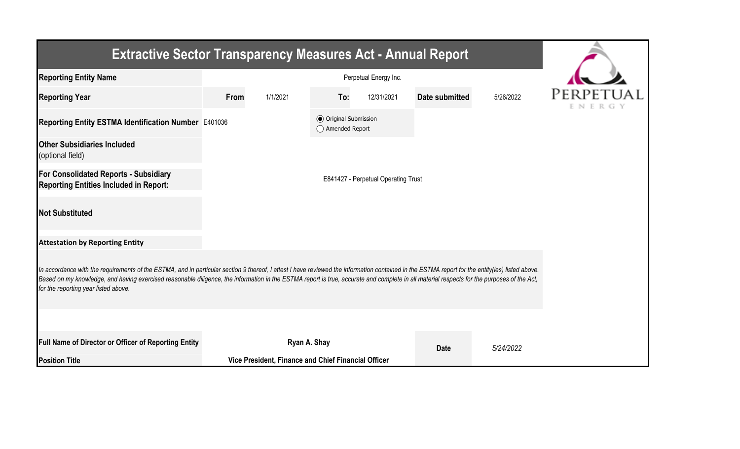| <b>Extractive Sector Transparency Measures Act - Annual Report</b>                                                                                                                                                                                                                                                                                                                                                                    |                                     |                                                     |                                                  |            |                |           |        |  |  |  |  |
|---------------------------------------------------------------------------------------------------------------------------------------------------------------------------------------------------------------------------------------------------------------------------------------------------------------------------------------------------------------------------------------------------------------------------------------|-------------------------------------|-----------------------------------------------------|--------------------------------------------------|------------|----------------|-----------|--------|--|--|--|--|
| <b>Reporting Entity Name</b>                                                                                                                                                                                                                                                                                                                                                                                                          |                                     |                                                     |                                                  |            |                |           |        |  |  |  |  |
| <b>Reporting Year</b>                                                                                                                                                                                                                                                                                                                                                                                                                 | <b>From</b>                         | 1/1/2021                                            | To:                                              | 12/31/2021 | Date submitted | 5/26/2022 | ENERGY |  |  |  |  |
| Reporting Entity ESTMA Identification Number E401036                                                                                                                                                                                                                                                                                                                                                                                  |                                     |                                                     | <b>⊙</b> Original Submission<br>◯ Amended Report |            |                |           |        |  |  |  |  |
| <b>Other Subsidiaries Included</b><br>(optional field)                                                                                                                                                                                                                                                                                                                                                                                |                                     |                                                     |                                                  |            |                |           |        |  |  |  |  |
| For Consolidated Reports - Subsidiary<br><b>Reporting Entities Included in Report:</b>                                                                                                                                                                                                                                                                                                                                                | E841427 - Perpetual Operating Trust |                                                     |                                                  |            |                |           |        |  |  |  |  |
| <b>Not Substituted</b>                                                                                                                                                                                                                                                                                                                                                                                                                |                                     |                                                     |                                                  |            |                |           |        |  |  |  |  |
| <b>Attestation by Reporting Entity</b>                                                                                                                                                                                                                                                                                                                                                                                                |                                     |                                                     |                                                  |            |                |           |        |  |  |  |  |
| In accordance with the requirements of the ESTMA, and in particular section 9 thereof, I attest I have reviewed the information contained in the ESTMA report for the entity(ies) listed above.<br>Based on my knowledge, and having exercised reasonable diligence, the information in the ESTMA report is true, accurate and complete in all material respects for the purposes of the Act,<br>for the reporting year listed above. |                                     |                                                     |                                                  |            |                |           |        |  |  |  |  |
|                                                                                                                                                                                                                                                                                                                                                                                                                                       |                                     |                                                     |                                                  |            |                |           |        |  |  |  |  |
| <b>Full Name of Director or Officer of Reporting Entity</b>                                                                                                                                                                                                                                                                                                                                                                           |                                     | Ryan A. Shay                                        |                                                  |            | <b>Date</b>    | 5/24/2022 |        |  |  |  |  |
| <b>Position Title</b>                                                                                                                                                                                                                                                                                                                                                                                                                 |                                     | Vice President, Finance and Chief Financial Officer |                                                  |            |                |           |        |  |  |  |  |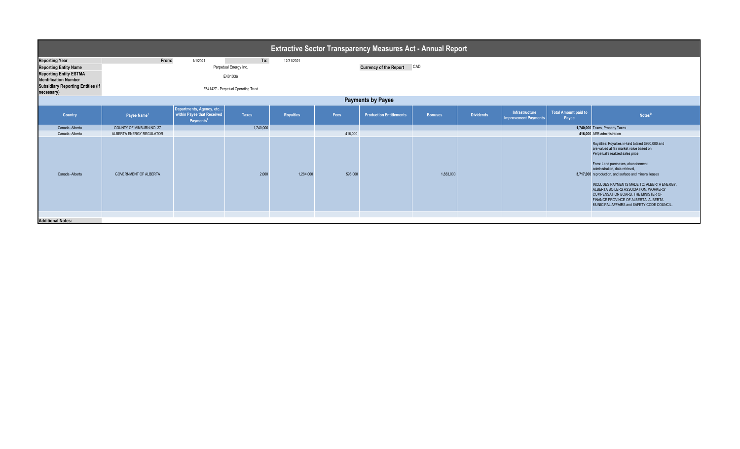| <b>Extractive Sector Transparency Measures Act - Annual Report</b>                                                                                                               |                              |                                                                                 |                                                                         |                                                 |         |                                |                |                  |                                               |                               |                                                                                                                                                                                                                                                                                                                                                                                                                                                                                           |
|----------------------------------------------------------------------------------------------------------------------------------------------------------------------------------|------------------------------|---------------------------------------------------------------------------------|-------------------------------------------------------------------------|-------------------------------------------------|---------|--------------------------------|----------------|------------------|-----------------------------------------------|-------------------------------|-------------------------------------------------------------------------------------------------------------------------------------------------------------------------------------------------------------------------------------------------------------------------------------------------------------------------------------------------------------------------------------------------------------------------------------------------------------------------------------------|
| <b>Reporting Year</b><br><b>Reporting Entity Name</b><br><b>Reporting Entity ESTMA</b><br><b>Identification Number</b><br><b>Subsidiary Reporting Entities (if</b><br>necessary) | From:                        | 1/1/2021                                                                        | Perpetual Energy Inc.<br>E401036<br>E841427 - Perpetual Operating Trust | To:<br>12/31/2021<br>Currency of the Report CAD |         |                                |                |                  |                                               |                               |                                                                                                                                                                                                                                                                                                                                                                                                                                                                                           |
| <b>Payments by Payee</b>                                                                                                                                                         |                              |                                                                                 |                                                                         |                                                 |         |                                |                |                  |                                               |                               |                                                                                                                                                                                                                                                                                                                                                                                                                                                                                           |
| Country                                                                                                                                                                          | Payee Name <sup>1</sup>      | Departments, Agency, etc<br>within Payee that Received<br>Payments <sup>2</sup> | <b>Taxes</b>                                                            | Royalties                                       | Fees    | <b>Production Entitlements</b> | <b>Bonuses</b> | <b>Dividends</b> | Infrastructure<br><b>Improvement Payments</b> | Total Amount paid to<br>Payee | Notes <sup>34</sup>                                                                                                                                                                                                                                                                                                                                                                                                                                                                       |
| Canada - Alberta                                                                                                                                                                 | COUNTY OF MINBURN NO. 27     |                                                                                 | 1,740,000                                                               |                                                 |         |                                |                |                  |                                               |                               | 1,740,000 Taxes, Property Taxes                                                                                                                                                                                                                                                                                                                                                                                                                                                           |
| Canada - Alberta                                                                                                                                                                 | ALBERTA ENERGY REGULATOR     |                                                                                 |                                                                         |                                                 | 416,000 |                                |                |                  |                                               |                               | 416,000 AER administration                                                                                                                                                                                                                                                                                                                                                                                                                                                                |
| Canada - Alberta                                                                                                                                                                 | <b>GOVERNMENT OF ALBERTA</b> |                                                                                 | 2.000                                                                   | 1,284,000                                       | 598,000 |                                | 1.833.000      |                  |                                               |                               | Royalties: Royalties in-kind totaled \$950,000 and<br>are valued at fair market value based on<br>Perpetual's realized sales price<br>Fees: Land purchases, abandonment,<br>administration, data retrieval,<br>3,717,000 reproduction, and surface and mineral leases<br>INCLUDES PAYMENTS MADE TO: ALBERTA ENERGY,<br>ALBERTA BOILERS ASSOCIATION, WORKERS'<br>COMPENSATION BOARD, THE MINISTER OF<br>FINANCE PROVINCE OF ALBERTA, ALBERTA<br>MUNICIPAL AFFAIRS and SAFETY CODE COUNCIL. |
| <b>Additional Notes:</b>                                                                                                                                                         |                              |                                                                                 |                                                                         |                                                 |         |                                |                |                  |                                               |                               |                                                                                                                                                                                                                                                                                                                                                                                                                                                                                           |